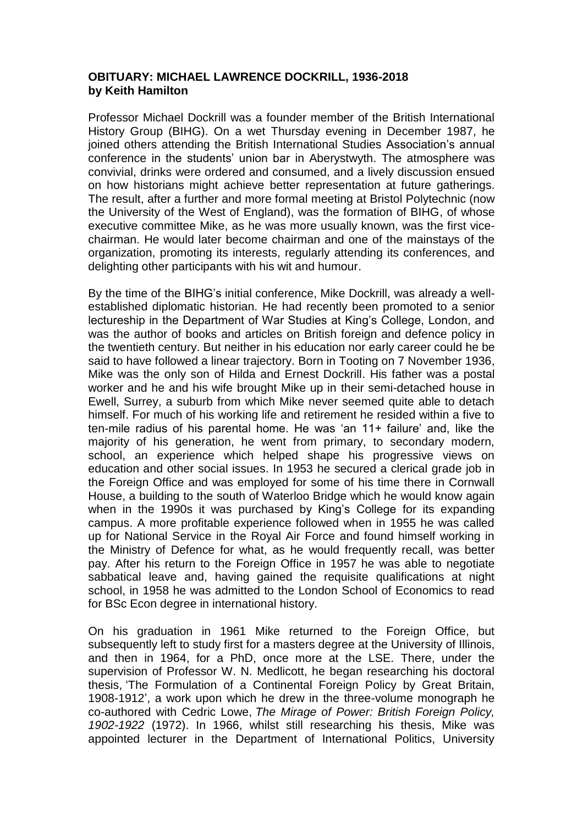## **OBITUARY: MICHAEL LAWRENCE DOCKRILL, 1936-2018 by Keith Hamilton**

Professor Michael Dockrill was a founder member of the British International History Group (BIHG). On a wet Thursday evening in December 1987, he joined others attending the British International Studies Association's annual conference in the students' union bar in Aberystwyth. The atmosphere was convivial, drinks were ordered and consumed, and a lively discussion ensued on how historians might achieve better representation at future gatherings. The result, after a further and more formal meeting at Bristol Polytechnic (now the University of the West of England), was the formation of BIHG, of whose executive committee Mike, as he was more usually known, was the first vicechairman. He would later become chairman and one of the mainstays of the organization, promoting its interests, regularly attending its conferences, and delighting other participants with his wit and humour.

By the time of the BIHG's initial conference, Mike Dockrill, was already a wellestablished diplomatic historian. He had recently been promoted to a senior lectureship in the Department of War Studies at King's College, London, and was the author of books and articles on British foreign and defence policy in the twentieth century. But neither in his education nor early career could he be said to have followed a linear trajectory. Born in Tooting on 7 November 1936, Mike was the only son of Hilda and Ernest Dockrill. His father was a postal worker and he and his wife brought Mike up in their semi-detached house in Ewell, Surrey, a suburb from which Mike never seemed quite able to detach himself. For much of his working life and retirement he resided within a five to ten-mile radius of his parental home. He was 'an 11+ failure' and, like the majority of his generation, he went from primary, to secondary modern, school, an experience which helped shape his progressive views on education and other social issues. In 1953 he secured a clerical grade job in the Foreign Office and was employed for some of his time there in Cornwall House, a building to the south of Waterloo Bridge which he would know again when in the 1990s it was purchased by King's College for its expanding campus. A more profitable experience followed when in 1955 he was called up for National Service in the Royal Air Force and found himself working in the Ministry of Defence for what, as he would frequently recall, was better pay. After his return to the Foreign Office in 1957 he was able to negotiate sabbatical leave and, having gained the requisite qualifications at night school, in 1958 he was admitted to the London School of Economics to read for BSc Econ degree in international history.

On his graduation in 1961 Mike returned to the Foreign Office, but subsequently left to study first for a masters degree at the University of Illinois, and then in 1964, for a PhD, once more at the LSE. There, under the supervision of Professor W. N. Medlicott, he began researching his doctoral thesis, 'The Formulation of a Continental Foreign Policy by Great Britain, 1908-1912', a work upon which he drew in the three-volume monograph he co-authored with Cedric Lowe, *The Mirage of Power: British Foreign Policy, 1902-1922* (1972). In 1966, whilst still researching his thesis, Mike was appointed lecturer in the Department of International Politics, University